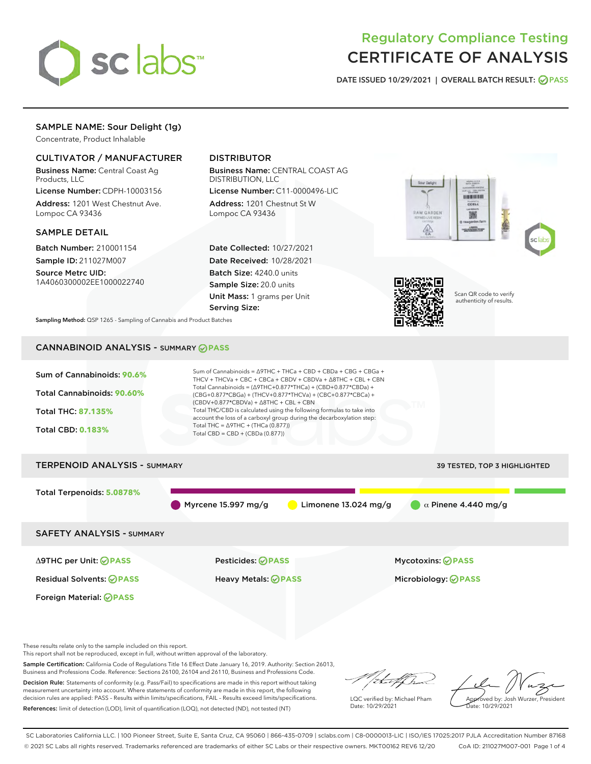

# Regulatory Compliance Testing CERTIFICATE OF ANALYSIS

DATE ISSUED 10/29/2021 | OVERALL BATCH RESULT: @ PASS

# SAMPLE NAME: Sour Delight (1g)

Concentrate, Product Inhalable

# CULTIVATOR / MANUFACTURER

Business Name: Central Coast Ag Products, LLC

License Number: CDPH-10003156 Address: 1201 West Chestnut Ave. Lompoc CA 93436

#### SAMPLE DETAIL

Batch Number: 210001154 Sample ID: 211027M007

Source Metrc UID: 1A4060300002EE1000022740

# DISTRIBUTOR

Business Name: CENTRAL COAST AG DISTRIBUTION, LLC

License Number: C11-0000496-LIC Address: 1201 Chestnut St W Lompoc CA 93436

Date Collected: 10/27/2021 Date Received: 10/28/2021 Batch Size: 4240.0 units Sample Size: 20.0 units Unit Mass: 1 grams per Unit Serving Size:





Scan QR code to verify authenticity of results.

Sampling Method: QSP 1265 - Sampling of Cannabis and Product Batches

# CANNABINOID ANALYSIS - SUMMARY **PASS**



These results relate only to the sample included on this report.

This report shall not be reproduced, except in full, without written approval of the laboratory.

Sample Certification: California Code of Regulations Title 16 Effect Date January 16, 2019. Authority: Section 26013, Business and Professions Code. Reference: Sections 26100, 26104 and 26110, Business and Professions Code.

Decision Rule: Statements of conformity (e.g. Pass/Fail) to specifications are made in this report without taking measurement uncertainty into account. Where statements of conformity are made in this report, the following decision rules are applied: PASS – Results within limits/specifications, FAIL – Results exceed limits/specifications. References: limit of detection (LOD), limit of quantification (LOQ), not detected (ND), not tested (NT)

that f h

LQC verified by: Michael Pham Date: 10/29/2021

Approved by: Josh Wurzer, President Date: 10/29/2021

SC Laboratories California LLC. | 100 Pioneer Street, Suite E, Santa Cruz, CA 95060 | 866-435-0709 | sclabs.com | C8-0000013-LIC | ISO/IES 17025:2017 PJLA Accreditation Number 87168 © 2021 SC Labs all rights reserved. Trademarks referenced are trademarks of either SC Labs or their respective owners. MKT00162 REV6 12/20 CoA ID: 211027M007-001 Page 1 of 4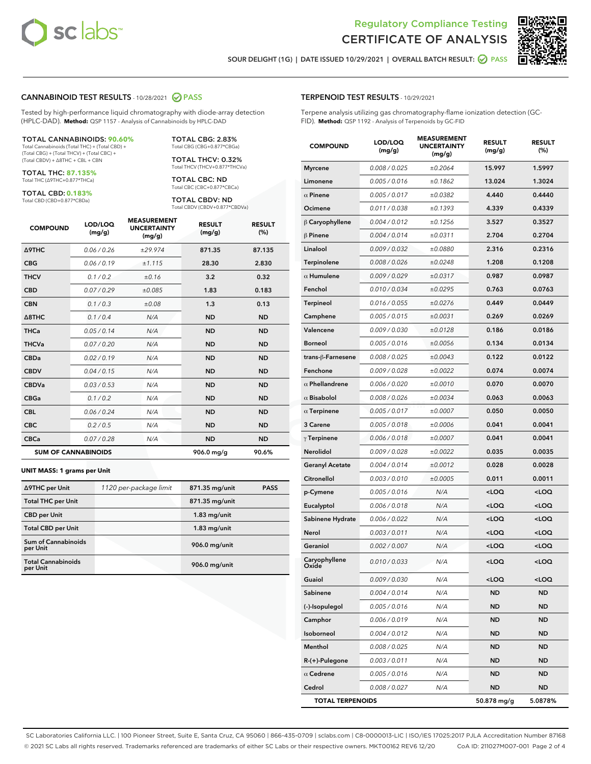



SOUR DELIGHT (1G) | DATE ISSUED 10/29/2021 | OVERALL BATCH RESULT: @ PASS

#### CANNABINOID TEST RESULTS - 10/28/2021 2 PASS

Tested by high-performance liquid chromatography with diode-array detection (HPLC-DAD). **Method:** QSP 1157 - Analysis of Cannabinoids by HPLC-DAD

#### TOTAL CANNABINOIDS: **90.60%**

Total Cannabinoids (Total THC) + (Total CBD) + (Total CBG) + (Total THCV) + (Total CBC) + (Total CBDV) + ∆8THC + CBL + CBN

TOTAL THC: **87.135%** Total THC (∆9THC+0.877\*THCa)

TOTAL CBD: **0.183%**

Total CBD (CBD+0.877\*CBDa)

TOTAL CBG: 2.83% Total CBG (CBG+0.877\*CBGa)

TOTAL THCV: 0.32% Total THCV (THCV+0.877\*THCVa)

TOTAL CBC: ND Total CBC (CBC+0.877\*CBCa)

TOTAL CBDV: ND Total CBDV (CBDV+0.877\*CBDVa)

| <b>COMPOUND</b>  | LOD/LOQ<br>(mg/g)          | <b>MEASUREMENT</b><br><b>UNCERTAINTY</b><br>(mg/g) | <b>RESULT</b><br>(mg/g) | <b>RESULT</b><br>(%) |
|------------------|----------------------------|----------------------------------------------------|-------------------------|----------------------|
| <b>A9THC</b>     | 0.06 / 0.26                | ±29.974                                            | 871.35                  | 87.135               |
| <b>CBG</b>       | 0.06/0.19                  | ±1.115                                             | 28.30                   | 2.830                |
| <b>THCV</b>      | 0.1 / 0.2                  | ±0.16                                              | 3.2                     | 0.32                 |
| <b>CBD</b>       | 0.07/0.29                  | ±0.085                                             | 1.83                    | 0.183                |
| <b>CBN</b>       | 0.1 / 0.3                  | ±0.08                                              | 1.3                     | 0.13                 |
| $\triangle$ 8THC | 0.1 / 0.4                  | N/A                                                | <b>ND</b>               | <b>ND</b>            |
| <b>THCa</b>      | 0.05/0.14                  | N/A                                                | <b>ND</b>               | <b>ND</b>            |
| <b>THCVa</b>     | 0.07/0.20                  | N/A                                                | <b>ND</b>               | <b>ND</b>            |
| <b>CBDa</b>      | 0.02/0.19                  | N/A                                                | <b>ND</b>               | <b>ND</b>            |
| <b>CBDV</b>      | 0.04/0.15                  | N/A                                                | <b>ND</b>               | <b>ND</b>            |
| <b>CBDVa</b>     | 0.03/0.53                  | N/A                                                | <b>ND</b>               | <b>ND</b>            |
| <b>CBGa</b>      | 0.1/0.2                    | N/A                                                | <b>ND</b>               | <b>ND</b>            |
| <b>CBL</b>       | 0.06 / 0.24                | N/A                                                | <b>ND</b>               | <b>ND</b>            |
| <b>CBC</b>       | 0.2 / 0.5                  | N/A                                                | <b>ND</b>               | <b>ND</b>            |
| <b>CBCa</b>      | 0.07 / 0.28                | N/A                                                | <b>ND</b>               | <b>ND</b>            |
|                  | <b>SUM OF CANNABINOIDS</b> |                                                    | 906.0 mg/g              | 90.6%                |

#### **UNIT MASS: 1 grams per Unit**

| ∆9THC per Unit                         | 1120 per-package limit | 871.35 mg/unit | <b>PASS</b> |
|----------------------------------------|------------------------|----------------|-------------|
| <b>Total THC per Unit</b>              |                        | 871.35 mg/unit |             |
| <b>CBD per Unit</b>                    |                        | $1.83$ mg/unit |             |
| <b>Total CBD per Unit</b>              |                        | $1.83$ mg/unit |             |
| <b>Sum of Cannabinoids</b><br>per Unit |                        | 906.0 mg/unit  |             |
| <b>Total Cannabinoids</b><br>per Unit  |                        | 906.0 mg/unit  |             |

| <b>COMPOUND</b>         | LOD/LOQ<br>(mg/g) | <b>MEASUREMENT</b><br><b>UNCERTAINTY</b><br>(mg/g) | <b>RESULT</b><br>(mg/g)                          | <b>RESULT</b><br>(%) |
|-------------------------|-------------------|----------------------------------------------------|--------------------------------------------------|----------------------|
| <b>Myrcene</b>          | 0.008 / 0.025     | ±0.2064                                            | 15.997                                           | 1.5997               |
| Limonene                | 0.005 / 0.016     | ±0.1862                                            | 13.024                                           | 1.3024               |
| $\alpha$ Pinene         | 0.005 / 0.017     | ±0.0382                                            | 4.440                                            | 0.4440               |
| Ocimene                 | 0.011 / 0.038     | ±0.1393                                            | 4.339                                            | 0.4339               |
| $\upbeta$ Caryophyllene | 0.004 / 0.012     | ±0.1256                                            | 3.527                                            | 0.3527               |
| $\beta$ Pinene          | 0.004 / 0.014     | ±0.0311                                            | 2.704                                            | 0.2704               |
| Linalool                | 0.009 / 0.032     | ±0.0880                                            | 2.316                                            | 0.2316               |
| Terpinolene             | 0.008 / 0.026     | ±0.0248                                            | 1.208                                            | 0.1208               |
| $\alpha$ Humulene       | 0.009/0.029       | ±0.0317                                            | 0.987                                            | 0.0987               |
| Fenchol                 | 0.010 / 0.034     | ±0.0295                                            | 0.763                                            | 0.0763               |
| Terpineol               | 0.016 / 0.055     | ±0.0276                                            | 0.449                                            | 0.0449               |
| Camphene                | 0.005 / 0.015     | ±0.0031                                            | 0.269                                            | 0.0269               |
| Valencene               | 0.009 / 0.030     | ±0.0128                                            | 0.186                                            | 0.0186               |
| Borneol                 | 0.005 / 0.016     | ±0.0056                                            | 0.134                                            | 0.0134               |
| trans-β-Farnesene       | 0.008 / 0.025     | ±0.0043                                            | 0.122                                            | 0.0122               |
| Fenchone                | 0.009 / 0.028     | ±0.0022                                            | 0.074                                            | 0.0074               |
| $\alpha$ Phellandrene   | 0.006 / 0.020     | ±0.0010                                            | 0.070                                            | 0.0070               |
| $\alpha$ Bisabolol      | 0.008 / 0.026     | ±0.0034                                            | 0.063                                            | 0.0063               |
| $\alpha$ Terpinene      | 0.005 / 0.017     | ±0.0007                                            | 0.050                                            | 0.0050               |
| 3 Carene                | 0.005 / 0.018     | ±0.0006                                            | 0.041                                            | 0.0041               |
| $\gamma$ Terpinene      | 0.006 / 0.018     | ±0.0007                                            | 0.041                                            | 0.0041               |
| Nerolidol               | 0.009 / 0.028     | ±0.0022                                            | 0.035                                            | 0.0035               |
| <b>Geranyl Acetate</b>  | 0.004 / 0.014     | ±0.0012                                            | 0.028                                            | 0.0028               |
| Citronellol             | 0.003 / 0.010     | ±0.0005                                            | 0.011                                            | 0.0011               |
| p-Cymene                | 0.005 / 0.016     | N/A                                                | <loq< th=""><th><loq< th=""></loq<></th></loq<>  | <loq< th=""></loq<>  |
| Eucalyptol              | 0.006 / 0.018     | N/A                                                | <loq< th=""><th><loq< th=""></loq<></th></loq<>  | <loq< th=""></loq<>  |
| Sabinene Hydrate        | 0.006 / 0.022     | N/A                                                | <loq< th=""><th><loq< th=""></loq<></th></loq<>  | <loq< th=""></loq<>  |
| Nerol                   | 0.003 / 0.011     | N/A                                                | <loq< th=""><th><loq< th=""></loq<></th></loq<>  | <loq< th=""></loq<>  |
| Geraniol                | 0.002 / 0.007     | N/A                                                | <loq< th=""><th><loq< th=""></loq<></th></loq<>  | <loq< th=""></loq<>  |
| Caryophyllene<br>Oxide  | 0.010 / 0.033     | N/A                                                | <loq< th=""><th><math>&lt;</math>LOQ</th></loq<> | $<$ LOQ              |
| Guaiol                  | 0.009 / 0.030     | N/A                                                | <loq< th=""><th><loq< th=""></loq<></th></loq<>  | <loq< th=""></loq<>  |
| Sabinene                | 0.004 / 0.014     | N/A                                                | ND                                               | ND                   |
| (-)-Isopulegol          | 0.005 / 0.016     | N/A                                                | ND                                               | ND                   |
| Camphor                 | 0.006 / 0.019     | N/A                                                | ND                                               | ND                   |
| Isoborneol              | 0.004 / 0.012     | N/A                                                | ND                                               | ND                   |
| Menthol                 | 0.008 / 0.025     | N/A                                                | ND                                               | ND                   |
| R-(+)-Pulegone          | 0.003 / 0.011     | N/A                                                | ND                                               | ND                   |
| $\alpha$ Cedrene        | 0.005 / 0.016     | N/A                                                | ND                                               | ND                   |
| Cedrol                  | 0.008 / 0.027     | N/A                                                | ND                                               | ND                   |
| <b>TOTAL TERPENOIDS</b> |                   |                                                    | 50.878 mg/g                                      | 5.0878%              |

SC Laboratories California LLC. | 100 Pioneer Street, Suite E, Santa Cruz, CA 95060 | 866-435-0709 | sclabs.com | C8-0000013-LIC | ISO/IES 17025:2017 PJLA Accreditation Number 87168 © 2021 SC Labs all rights reserved. Trademarks referenced are trademarks of either SC Labs or their respective owners. MKT00162 REV6 12/20 CoA ID: 211027M007-001 Page 2 of 4

# TERPENOID TEST RESULTS - 10/29/2021

Terpene analysis utilizing gas chromatography-flame ionization detection (GC-FID). **Method:** QSP 1192 - Analysis of Terpenoids by GC-FID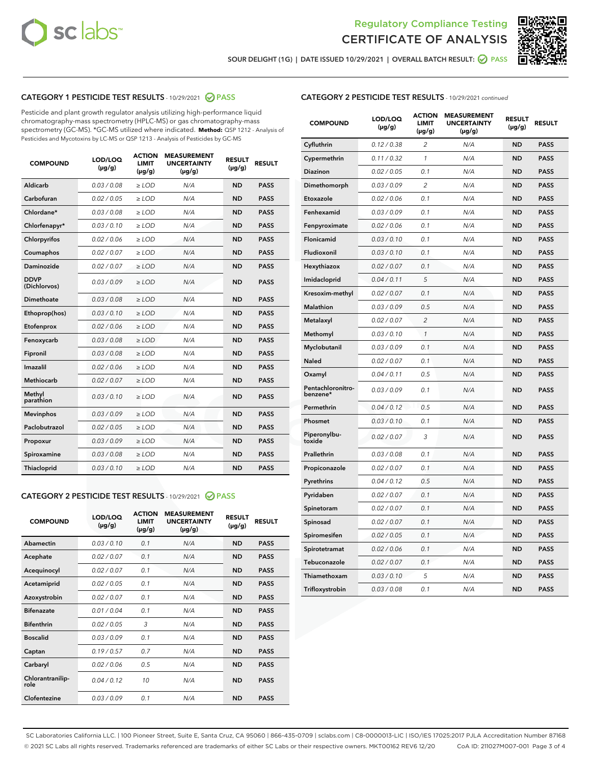



SOUR DELIGHT (1G) | DATE ISSUED 10/29/2021 | OVERALL BATCH RESULT:  $\bigcirc$  PASS

# CATEGORY 1 PESTICIDE TEST RESULTS - 10/29/2021 2 PASS

Pesticide and plant growth regulator analysis utilizing high-performance liquid chromatography-mass spectrometry (HPLC-MS) or gas chromatography-mass spectrometry (GC-MS). \*GC-MS utilized where indicated. **Method:** QSP 1212 - Analysis of Pesticides and Mycotoxins by LC-MS or QSP 1213 - Analysis of Pesticides by GC-MS

| <b>COMPOUND</b>             | LOD/LOQ<br>$(\mu g/g)$ | <b>ACTION</b><br><b>LIMIT</b><br>$(\mu g/g)$ | <b>MEASUREMENT</b><br><b>UNCERTAINTY</b><br>$(\mu g/g)$ | <b>RESULT</b><br>$(\mu g/g)$ | <b>RESULT</b> |
|-----------------------------|------------------------|----------------------------------------------|---------------------------------------------------------|------------------------------|---------------|
| Aldicarb                    | 0.03 / 0.08            | $\geq$ LOD                                   | N/A                                                     | <b>ND</b>                    | <b>PASS</b>   |
| Carbofuran                  | 0.02/0.05              | $\ge$ LOD                                    | N/A                                                     | <b>ND</b>                    | <b>PASS</b>   |
| Chlordane*                  | 0.03 / 0.08            | $\ge$ LOD                                    | N/A                                                     | <b>ND</b>                    | <b>PASS</b>   |
| Chlorfenapyr*               | 0.03/0.10              | $\ge$ LOD                                    | N/A                                                     | <b>ND</b>                    | <b>PASS</b>   |
| Chlorpyrifos                | 0.02 / 0.06            | $\ge$ LOD                                    | N/A                                                     | <b>ND</b>                    | <b>PASS</b>   |
| Coumaphos                   | 0.02 / 0.07            | $\ge$ LOD                                    | N/A                                                     | <b>ND</b>                    | <b>PASS</b>   |
| Daminozide                  | 0.02 / 0.07            | $\ge$ LOD                                    | N/A                                                     | <b>ND</b>                    | <b>PASS</b>   |
| <b>DDVP</b><br>(Dichlorvos) | 0.03/0.09              | $\ge$ LOD                                    | N/A                                                     | <b>ND</b>                    | <b>PASS</b>   |
| Dimethoate                  | 0.03 / 0.08            | $\ge$ LOD                                    | N/A                                                     | <b>ND</b>                    | <b>PASS</b>   |
| Ethoprop(hos)               | 0.03/0.10              | $\ge$ LOD                                    | N/A                                                     | <b>ND</b>                    | <b>PASS</b>   |
| Etofenprox                  | 0.02/0.06              | $\ge$ LOD                                    | N/A                                                     | <b>ND</b>                    | <b>PASS</b>   |
| Fenoxycarb                  | 0.03/0.08              | $\ge$ LOD                                    | N/A                                                     | <b>ND</b>                    | <b>PASS</b>   |
| Fipronil                    | 0.03/0.08              | $\ge$ LOD                                    | N/A                                                     | <b>ND</b>                    | <b>PASS</b>   |
| Imazalil                    | 0.02 / 0.06            | $\ge$ LOD                                    | N/A                                                     | <b>ND</b>                    | <b>PASS</b>   |
| <b>Methiocarb</b>           | 0.02 / 0.07            | $\ge$ LOD                                    | N/A                                                     | <b>ND</b>                    | <b>PASS</b>   |
| Methyl<br>parathion         | 0.03/0.10              | $\ge$ LOD                                    | N/A                                                     | <b>ND</b>                    | <b>PASS</b>   |
| <b>Mevinphos</b>            | 0.03/0.09              | $\ge$ LOD                                    | N/A                                                     | <b>ND</b>                    | <b>PASS</b>   |
| Paclobutrazol               | 0.02 / 0.05            | $\ge$ LOD                                    | N/A                                                     | <b>ND</b>                    | <b>PASS</b>   |
| Propoxur                    | 0.03/0.09              | $\ge$ LOD                                    | N/A                                                     | <b>ND</b>                    | <b>PASS</b>   |
| Spiroxamine                 | 0.03 / 0.08            | $\ge$ LOD                                    | N/A                                                     | <b>ND</b>                    | <b>PASS</b>   |
| <b>Thiacloprid</b>          | 0.03/0.10              | $\ge$ LOD                                    | N/A                                                     | <b>ND</b>                    | <b>PASS</b>   |
|                             |                        |                                              |                                                         |                              |               |

# CATEGORY 2 PESTICIDE TEST RESULTS - 10/29/2021 @ PASS

| <b>COMPOUND</b>          | LOD/LOO<br>$(\mu g/g)$ | <b>ACTION</b><br>LIMIT<br>$(\mu g/g)$ | <b>MEASUREMENT</b><br><b>UNCERTAINTY</b><br>$(\mu g/g)$ | <b>RESULT</b><br>$(\mu g/g)$ | <b>RESULT</b> |  |
|--------------------------|------------------------|---------------------------------------|---------------------------------------------------------|------------------------------|---------------|--|
| Abamectin                | 0.03/0.10              | 0.1                                   | N/A                                                     | <b>ND</b>                    | <b>PASS</b>   |  |
| Acephate                 | 0.02/0.07              | 0.1                                   | N/A                                                     | <b>ND</b>                    | <b>PASS</b>   |  |
| Acequinocyl              | 0.02/0.07              | 0.1                                   | N/A                                                     | <b>ND</b>                    | <b>PASS</b>   |  |
| Acetamiprid              | 0.02/0.05              | 0.1                                   | N/A                                                     | <b>ND</b>                    | <b>PASS</b>   |  |
| Azoxystrobin             | 0.02/0.07              | 0.1                                   | N/A                                                     | <b>ND</b>                    | <b>PASS</b>   |  |
| <b>Bifenazate</b>        | 0.01/0.04              | 0.1                                   | N/A                                                     | <b>ND</b>                    | <b>PASS</b>   |  |
| <b>Bifenthrin</b>        | 0.02/0.05              | 3                                     | N/A                                                     | <b>ND</b>                    | <b>PASS</b>   |  |
| <b>Boscalid</b>          | 0.03/0.09              | 0.1                                   | N/A                                                     | <b>ND</b>                    | <b>PASS</b>   |  |
| Captan                   | 0.19/0.57              | 0.7                                   | N/A                                                     | <b>ND</b>                    | <b>PASS</b>   |  |
| Carbaryl                 | 0.02/0.06              | 0.5                                   | N/A                                                     | <b>ND</b>                    | <b>PASS</b>   |  |
| Chlorantranilip-<br>role | 0.04/0.12              | 10                                    | N/A                                                     | <b>ND</b>                    | <b>PASS</b>   |  |
| Clofentezine             | 0.03/0.09              | 0.1                                   | N/A                                                     | <b>ND</b>                    | <b>PASS</b>   |  |

| <b>CATEGORY 2 PESTICIDE TEST RESULTS</b> - 10/29/2021 continued |
|-----------------------------------------------------------------|
|-----------------------------------------------------------------|

| <b>COMPOUND</b>               | LOD/LOQ<br>(µg/g) | <b>ACTION</b><br>LIMIT<br>(µg/g) | <b>MEASUREMENT</b><br><b>UNCERTAINTY</b><br>$(\mu g/g)$ | <b>RESULT</b><br>(µg/g) | <b>RESULT</b> |
|-------------------------------|-------------------|----------------------------------|---------------------------------------------------------|-------------------------|---------------|
| Cyfluthrin                    | 0.12 / 0.38       | $\overline{c}$                   | N/A                                                     | <b>ND</b>               | <b>PASS</b>   |
| Cypermethrin                  | 0.11 / 0.32       | $\mathcal{I}$                    | N/A                                                     | <b>ND</b>               | <b>PASS</b>   |
| Diazinon                      | 0.02 / 0.05       | 0.1                              | N/A                                                     | <b>ND</b>               | <b>PASS</b>   |
| Dimethomorph                  | 0.03 / 0.09       | $\overline{2}$                   | N/A                                                     | <b>ND</b>               | <b>PASS</b>   |
| Etoxazole                     | 0.02 / 0.06       | 0.1                              | N/A                                                     | <b>ND</b>               | <b>PASS</b>   |
| Fenhexamid                    | 0.03 / 0.09       | 0.1                              | N/A                                                     | <b>ND</b>               | <b>PASS</b>   |
| Fenpyroximate                 | 0.02 / 0.06       | 0.1                              | N/A                                                     | <b>ND</b>               | <b>PASS</b>   |
| Flonicamid                    | 0.03 / 0.10       | 0.1                              | N/A                                                     | <b>ND</b>               | <b>PASS</b>   |
| Fludioxonil                   | 0.03 / 0.10       | 0.1                              | N/A                                                     | <b>ND</b>               | <b>PASS</b>   |
| Hexythiazox                   | 0.02 / 0.07       | 0.1                              | N/A                                                     | <b>ND</b>               | <b>PASS</b>   |
| Imidacloprid                  | 0.04 / 0.11       | 5                                | N/A                                                     | <b>ND</b>               | <b>PASS</b>   |
| Kresoxim-methyl               | 0.02 / 0.07       | 0.1                              | N/A                                                     | <b>ND</b>               | <b>PASS</b>   |
| <b>Malathion</b>              | 0.03 / 0.09       | 0.5                              | N/A                                                     | <b>ND</b>               | <b>PASS</b>   |
| Metalaxyl                     | 0.02 / 0.07       | $\overline{2}$                   | N/A                                                     | <b>ND</b>               | <b>PASS</b>   |
| Methomyl                      | 0.03 / 0.10       | 1                                | N/A                                                     | <b>ND</b>               | <b>PASS</b>   |
| Myclobutanil                  | 0.03 / 0.09       | 0.1                              | N/A                                                     | <b>ND</b>               | <b>PASS</b>   |
| <b>Naled</b>                  | 0.02 / 0.07       | 0.1                              | N/A                                                     | <b>ND</b>               | <b>PASS</b>   |
| Oxamyl                        | 0.04 / 0.11       | 0.5                              | N/A                                                     | <b>ND</b>               | <b>PASS</b>   |
| Pentachloronitro-<br>benzene* | 0.03/0.09         | 0.1                              | N/A                                                     | ND                      | <b>PASS</b>   |
| Permethrin                    | 0.04 / 0.12       | 0.5                              | N/A                                                     | <b>ND</b>               | <b>PASS</b>   |
| Phosmet                       | 0.03 / 0.10       | 0.1                              | N/A                                                     | <b>ND</b>               | <b>PASS</b>   |
| Piperonylbu-<br>toxide        | 0.02 / 0.07       | 3                                | N/A                                                     | <b>ND</b>               | <b>PASS</b>   |
| Prallethrin                   | 0.03 / 0.08       | 0.1                              | N/A                                                     | <b>ND</b>               | <b>PASS</b>   |
| Propiconazole                 | 0.02 / 0.07       | 0.1                              | N/A                                                     | <b>ND</b>               | <b>PASS</b>   |
| Pyrethrins                    | 0.04 / 0.12       | 0.5                              | N/A                                                     | <b>ND</b>               | <b>PASS</b>   |
| Pyridaben                     | 0.02 / 0.07       | 0.1                              | N/A                                                     | <b>ND</b>               | <b>PASS</b>   |
| Spinetoram                    | 0.02 / 0.07       | 0.1                              | N/A                                                     | <b>ND</b>               | <b>PASS</b>   |
| Spinosad                      | 0.02 / 0.07       | 0.1                              | N/A                                                     | <b>ND</b>               | <b>PASS</b>   |
| Spiromesifen                  | 0.02 / 0.05       | 0.1                              | N/A                                                     | <b>ND</b>               | <b>PASS</b>   |
| Spirotetramat                 | 0.02 / 0.06       | 0.1                              | N/A                                                     | <b>ND</b>               | <b>PASS</b>   |
| Tebuconazole                  | 0.02 / 0.07       | 0.1                              | N/A                                                     | ND                      | <b>PASS</b>   |
| Thiamethoxam                  | 0.03 / 0.10       | 5                                | N/A                                                     | <b>ND</b>               | <b>PASS</b>   |
| Trifloxystrobin               | 0.03 / 0.08       | 0.1                              | N/A                                                     | ND                      | <b>PASS</b>   |

SC Laboratories California LLC. | 100 Pioneer Street, Suite E, Santa Cruz, CA 95060 | 866-435-0709 | sclabs.com | C8-0000013-LIC | ISO/IES 17025:2017 PJLA Accreditation Number 87168 © 2021 SC Labs all rights reserved. Trademarks referenced are trademarks of either SC Labs or their respective owners. MKT00162 REV6 12/20 CoA ID: 211027M007-001 Page 3 of 4